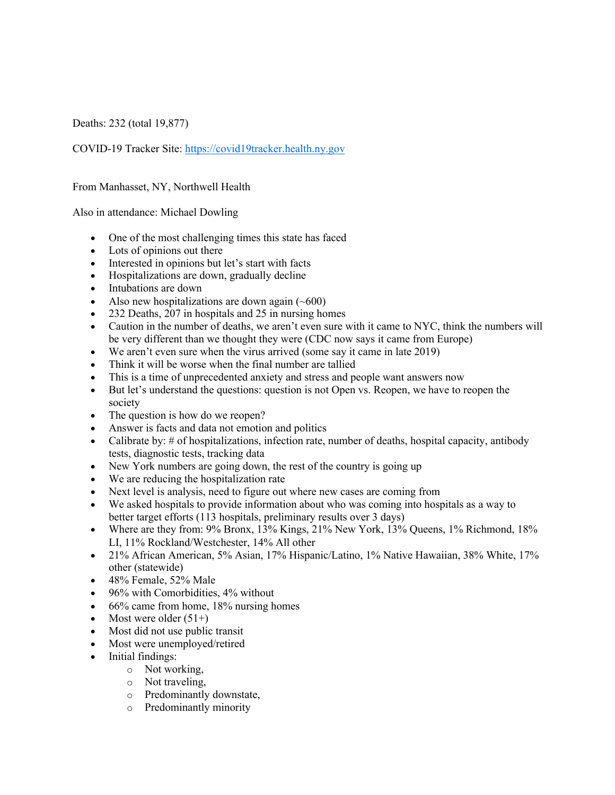Deaths: 232 (total 19,877)

COVID-19 Tracker Site: https://covid19tracker.health.ny.gov

## From Manhasset, NY, Northwell Health

Also in attendance: Michael Dowling

- One of the most challenging times this state has faced
- Lots of opinions out there
- Interested in opinions but let's start with facts
- Hospitalizations are down, gradually decline
- Intubations are down
- Also new hospitalizations are down again  $(\sim 600)$
- 232 Deaths, 207 in hospitals and 25 in nursing homes
- Caution in the number of deaths, we aren't even sure with it came to NYC, think the numbers will be very different than we thought they were (CDC now says it came from Europe)
- We aren't even sure when the virus arrived (some say it came in late 2019)
- Think it will be worse when the final number are tallied
- This is a time of unprecedented anxiety and stress and people want answers now
- But let's understand the questions: question is not Open vs. Reopen, we have to reopen the society
- The question is how do we reopen?
- Answer is facts and data not emotion and politics
- Calibrate by: # of hospitalizations, infection rate, number of deaths, hospital capacity, antibody tests, diagnostic tests, tracking data
- New York numbers are going down, the rest of the country is going up
- We are reducing the hospitalization rate
- Next level is analysis, need to figure out where new cases are coming from
- We asked hospitals to provide information about who was coming into hospitals as a way to better target efforts (113 hospitals, preliminary results over 3 days)
- Where are they from: 9% Bronx, 13% Kings, 21% New York, 13% Queens, 1% Richmond, 18% LI, 11% Rockland/Westchester, 14% All other
- 21% African American, 5% Asian, 17% Hispanic/Latino, 1% Native Hawaiian, 38% White, 17% other (statewide)
- 48% Female, 52% Male
- 96% with Comorbidities, 4% without
- 66% came from home, 18% nursing homes
- Most were older  $(51+)$
- Most did not use public transit
- Most were unemployed/retired
- Initial findings:
	- o Not working,
	- o Not traveling,
	- o Predominantly downstate,
	- o Predominantly minority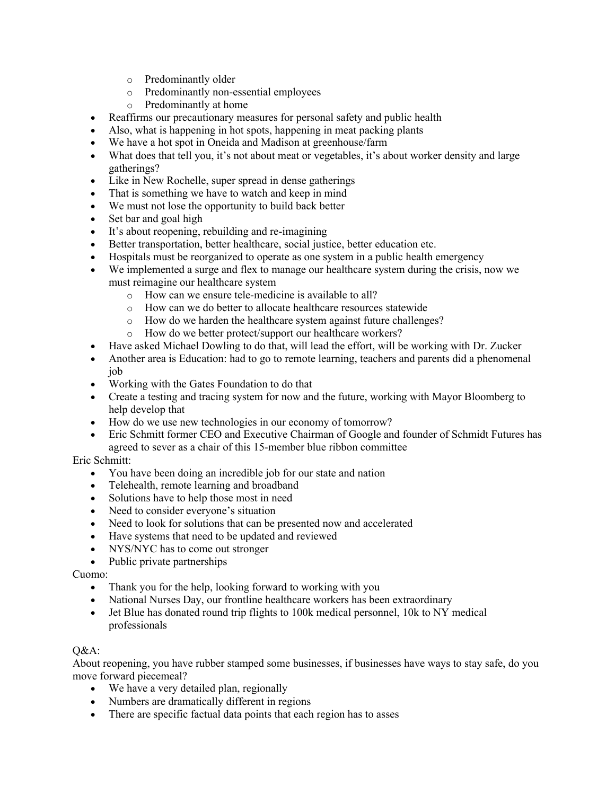- o Predominantly older
- o Predominantly non-essential employees
- o Predominantly at home
- Reaffirms our precautionary measures for personal safety and public health
- Also, what is happening in hot spots, happening in meat packing plants
- We have a hot spot in Oneida and Madison at greenhouse/farm
- What does that tell you, it's not about meat or vegetables, it's about worker density and large gatherings?
- Like in New Rochelle, super spread in dense gatherings
- That is something we have to watch and keep in mind
- We must not lose the opportunity to build back better
- Set bar and goal high
- It's about reopening, rebuilding and re-imagining
- Better transportation, better healthcare, social justice, better education etc.
- Hospitals must be reorganized to operate as one system in a public health emergency
- We implemented a surge and flex to manage our healthcare system during the crisis, now we must reimagine our healthcare system
	- o How can we ensure tele-medicine is available to all?
	- o How can we do better to allocate healthcare resources statewide
	- o How do we harden the healthcare system against future challenges?
	- o How do we better protect/support our healthcare workers?
- Have asked Michael Dowling to do that, will lead the effort, will be working with Dr. Zucker
- Another area is Education: had to go to remote learning, teachers and parents did a phenomenal job
- Working with the Gates Foundation to do that
- Create a testing and tracing system for now and the future, working with Mayor Bloomberg to help develop that
- How do we use new technologies in our economy of tomorrow?
- Eric Schmitt former CEO and Executive Chairman of Google and founder of Schmidt Futures has agreed to sever as a chair of this 15-member blue ribbon committee

## Eric Schmitt:

- You have been doing an incredible job for our state and nation
- Telehealth, remote learning and broadband
- Solutions have to help those most in need
- Need to consider everyone's situation
- Need to look for solutions that can be presented now and accelerated
- Have systems that need to be updated and reviewed
- NYS/NYC has to come out stronger
- Public private partnerships

## Cuomo:

- Thank you for the help, looking forward to working with you
- National Nurses Day, our frontline healthcare workers has been extraordinary
- Jet Blue has donated round trip flights to 100k medical personnel, 10k to NY medical professionals

## Q&A:

About reopening, you have rubber stamped some businesses, if businesses have ways to stay safe, do you move forward piecemeal?

- We have a very detailed plan, regionally
- Numbers are dramatically different in regions
- There are specific factual data points that each region has to asses